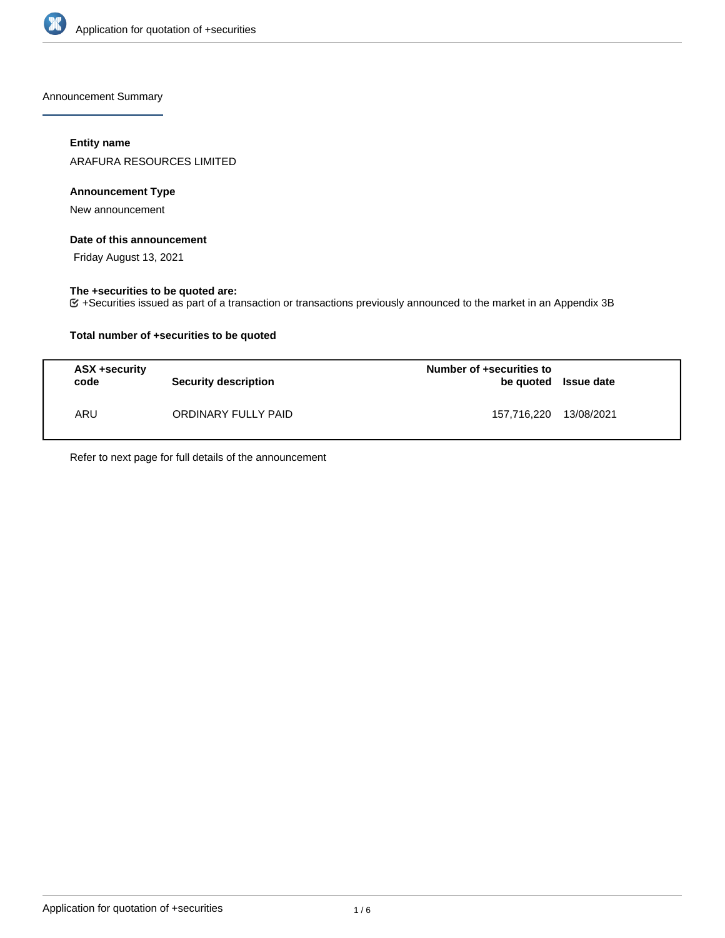

Announcement Summary

## **Entity name**

ARAFURA RESOURCES LIMITED

## **Announcement Type**

New announcement

#### **Date of this announcement**

Friday August 13, 2021

### **The +securities to be quoted are:**

+Securities issued as part of a transaction or transactions previously announced to the market in an Appendix 3B

## **Total number of +securities to be quoted**

| ASX +security<br>code | <b>Security description</b> | Number of +securities to<br>be quoted Issue date |  |
|-----------------------|-----------------------------|--------------------------------------------------|--|
| ARU                   | ORDINARY FULLY PAID         | 157,716,220 13/08/2021                           |  |

Refer to next page for full details of the announcement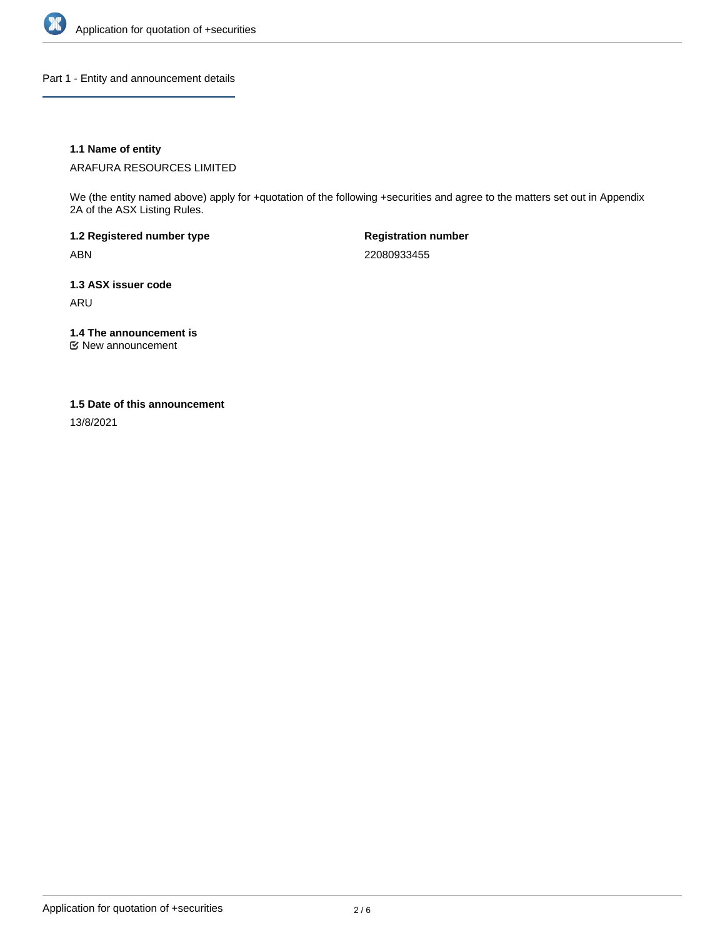

Part 1 - Entity and announcement details

## **1.1 Name of entity**

ARAFURA RESOURCES LIMITED

We (the entity named above) apply for +quotation of the following +securities and agree to the matters set out in Appendix 2A of the ASX Listing Rules.

**1.2 Registered number type** ABN

**Registration number** 22080933455

**1.3 ASX issuer code** ARU

**1.4 The announcement is**

New announcement

#### **1.5 Date of this announcement**

13/8/2021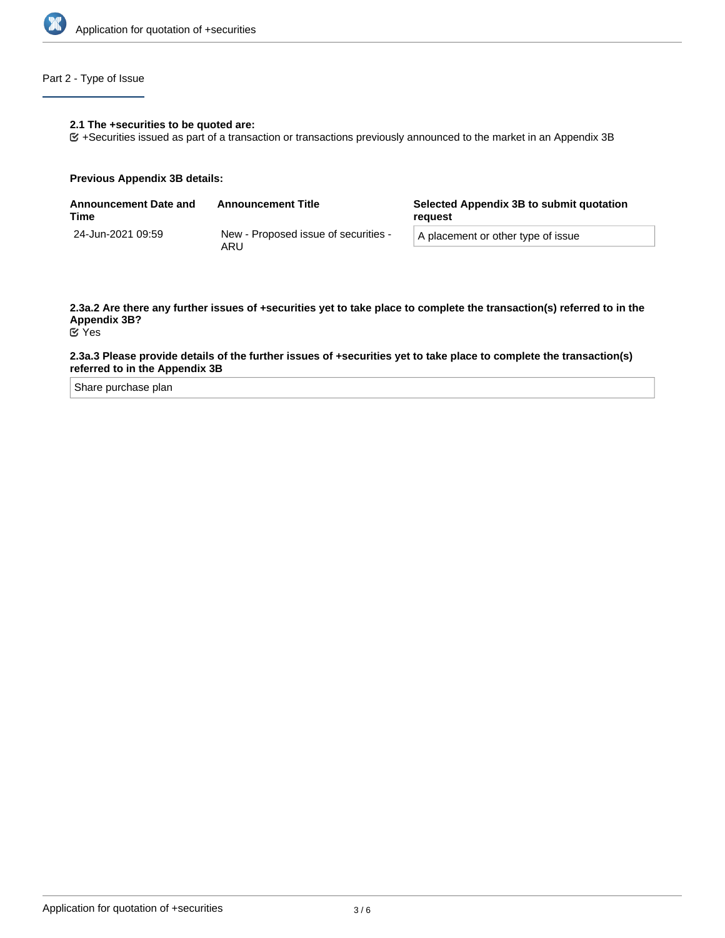

## Part 2 - Type of Issue

#### **2.1 The +securities to be quoted are:**

+Securities issued as part of a transaction or transactions previously announced to the market in an Appendix 3B

#### **Previous Appendix 3B details:**

| <b>Announcement Date and</b><br>Time | <b>Announcement Title</b>                   | Selected Appendix 3B to submit quotation<br>reguest |  |
|--------------------------------------|---------------------------------------------|-----------------------------------------------------|--|
| 24-Jun-2021 09:59                    | New - Proposed issue of securities -<br>ARU | A placement or other type of issue                  |  |

# **2.3a.2 Are there any further issues of +securities yet to take place to complete the transaction(s) referred to in the Appendix 3B?**

Yes

#### **2.3a.3 Please provide details of the further issues of +securities yet to take place to complete the transaction(s) referred to in the Appendix 3B**

Share purchase plan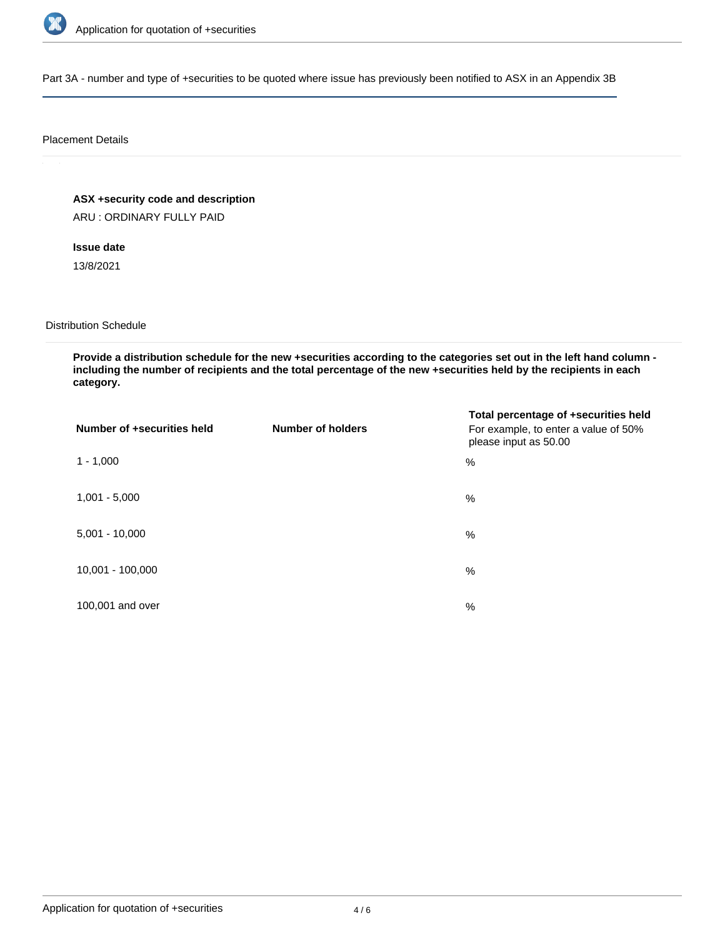

Part 3A - number and type of +securities to be quoted where issue has previously been notified to ASX in an Appendix 3B

#### Placement Details

**ASX +security code and description**

ARU : ORDINARY FULLY PAID

**Issue date**

13/8/2021

Distribution Schedule

**Provide a distribution schedule for the new +securities according to the categories set out in the left hand column including the number of recipients and the total percentage of the new +securities held by the recipients in each category.**

| Number of +securities held | <b>Number of holders</b> | Total percentage of +securities held<br>For example, to enter a value of 50%<br>please input as 50.00 |
|----------------------------|--------------------------|-------------------------------------------------------------------------------------------------------|
| $1 - 1,000$                |                          | %                                                                                                     |
| $1,001 - 5,000$            |                          | $\%$                                                                                                  |
| $5,001 - 10,000$           |                          | %                                                                                                     |
| 10,001 - 100,000           |                          | $\%$                                                                                                  |
| 100,001 and over           |                          | $\%$                                                                                                  |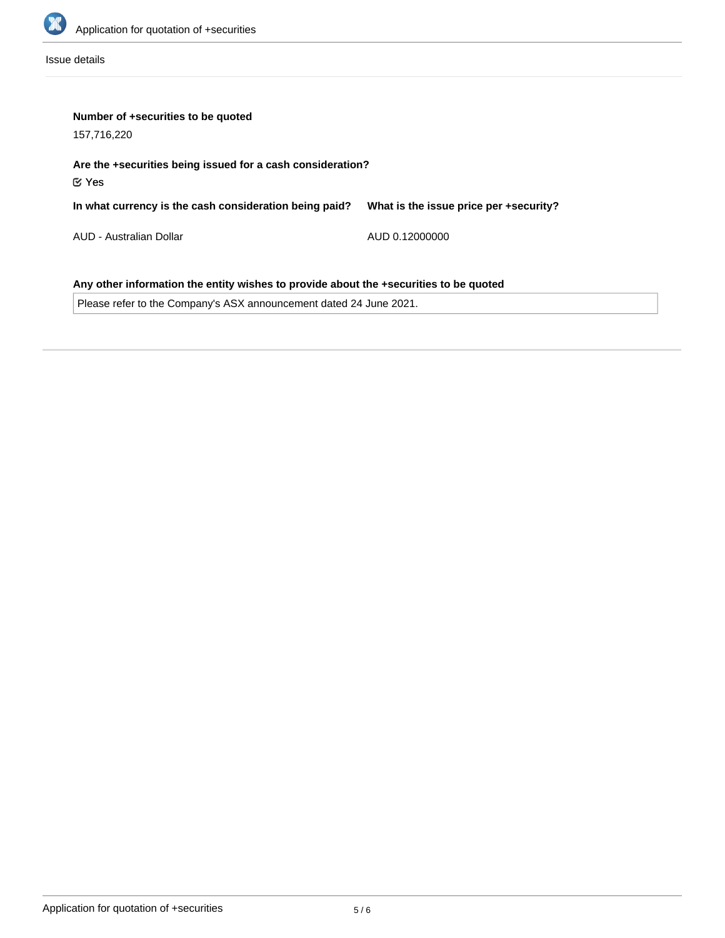

Issue details

| Number of +securities to be quoted<br>157,716,220                                     |                                        |  |  |  |
|---------------------------------------------------------------------------------------|----------------------------------------|--|--|--|
| Are the +securities being issued for a cash consideration?<br>$\mathfrak C$ Yes       |                                        |  |  |  |
| In what currency is the cash consideration being paid?                                | What is the issue price per +security? |  |  |  |
| AUD - Australian Dollar                                                               | AUD 0.12000000                         |  |  |  |
| Any other information the entity wishes to provide about the +securities to be quoted |                                        |  |  |  |

Please refer to the Company's ASX announcement dated 24 June 2021.